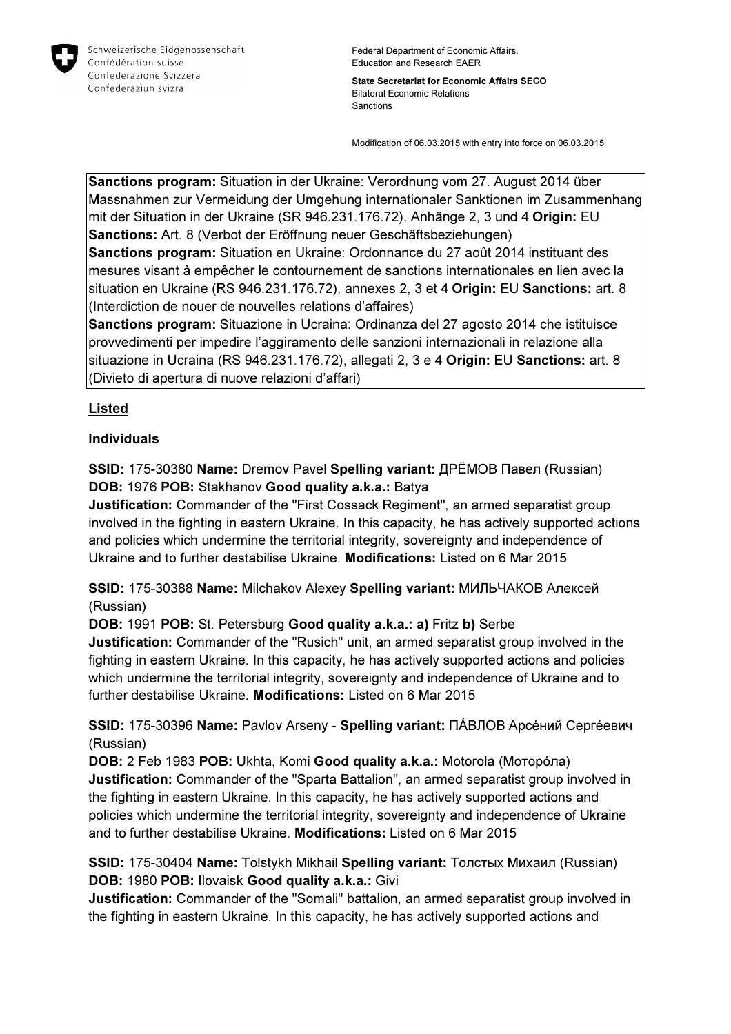

Federal Department of Economic Affairs, Education and Research EAER

State Secretariat for Economic Affairs SECO Bilateral Economic Relations Sanctions

Modification of 06.03.2015 with entry into force on 06.03.2015

Sanctions program: Situation in der Ukraine: Verordnung vom 27. August 2014 über Massnahmen zur Vermeidung der Umgehung internationaler Sanktionen im Zusammenhang mit der Situation in der Ukraine (SR 946.231.176.72), Anhänge 2, 3 und 4 Origin: EU Sanctions: Art. 8 (Verbot der Eröffnung neuer Geschäftsbeziehungen)

Sanctions program: Situation en Ukraine: Ordonnance du 27 août 2014 instituant des mesures visant à empêcher le contournement de sanctions internationales en lien avec la situation en Ukraine (RS 946.231.176.72), annexes 2, 3 et 4 Origin: EU Sanctions: art. 8 (Interdiction de nouer de nouvelles relations d'affaires)

Sanctions program: Situazione in Ucraina: Ordinanza del 27 agosto 2014 che istituisce provvedimenti per impedire l'aggiramento delle sanzioni internazionali in relazione alla situazione in Ucraina (RS 946.231.176.72), allegati 2, 3 e 4 Origin: EU Sanctions: art. 8 (Divieto di apertura di nuove relazioni d'affari)

### Listed

#### Individuals

SSID: 175-30380 Name: Dremov Pavel Spelling variant: ДРЁМОВ Павел (Russian) DOB: 1976 POB: Stakhanov Good quality a.k.a.: Batya

Justification: Commander of the "First Cossack Regiment", an armed separatist group involved in the fighting in eastern Ukraine. In this capacity, he has actively supported actions and policies which undermine the territorial integrity, sovereignty and independence of Ukraine and to further destabilise Ukraine. Modifications: Listed on 6 Mar 2015

SSID: 175-30388 Name: Milchakov Alexey Spelling variant: МИЛЬЧАКОВ Алексей (Russian)

DOB: 1991 POB: St. Petersburg Good quality a.k.a.: a) Fritz b) Serbe Justification: Commander of the "Rusich" unit, an armed separatist group involved in the fighting in eastern Ukraine. In this capacity, he has actively supported actions and policies which undermine the territorial integrity, sovereignty and independence of Ukraine and to further destabilise Ukraine. Modifications: Listed on 6 Mar 2015

SSID: 175-30396 Name: Pavlov Arseny - Spelling variant: ПÁВЛОВ Арсéний Сергéевич (Russian)

DOB: 2 Feb 1983 POB: Ukhta, Komi Good quality a.k.a.: Motorola (Моторóла) Justification: Commander of the "Sparta Battalion", an armed separatist group involved in the fighting in eastern Ukraine. In this capacity, he has actively supported actions and policies which undermine the territorial integrity, sovereignty and independence of Ukraine and to further destabilise Ukraine. Modifications: Listed on 6 Mar 2015

SSID: 175-30404 Name: Tolstykh Mikhail Spelling variant: Толстых Михаил (Russian) DOB: 1980 POB: Ilovaisk Good quality a.k.a.: Givi

Justification: Commander of the "Somali" battalion, an armed separatist group involved in the fighting in eastern Ukraine. In this capacity, he has actively supported actions and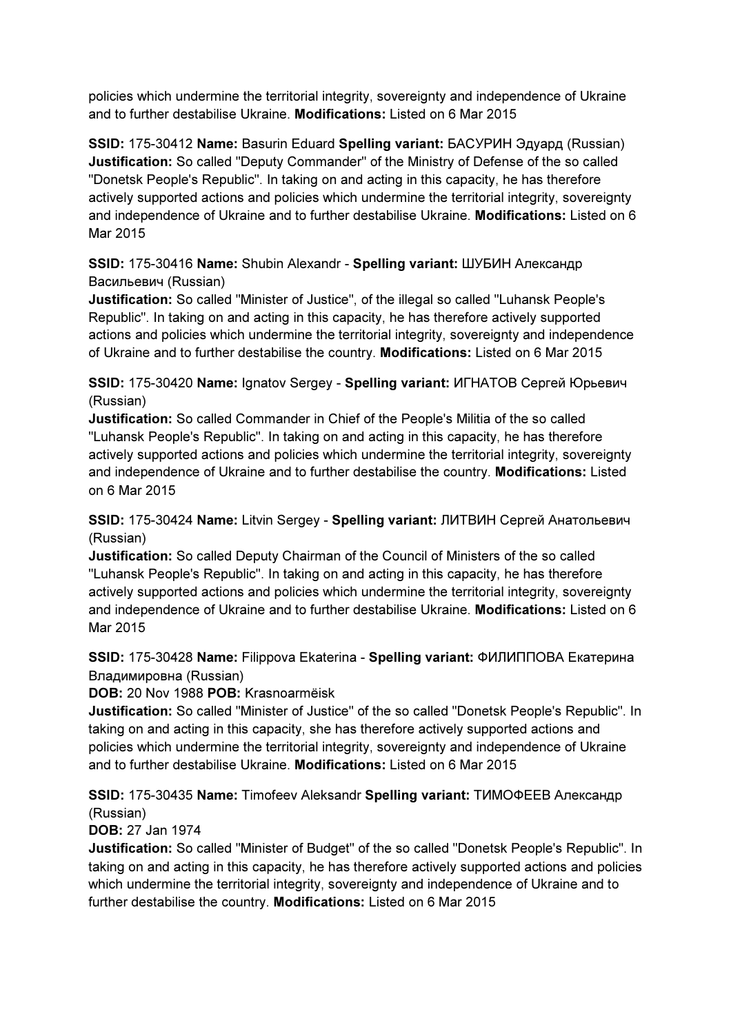policies which undermine the territorial integrity, sovereignty and independence of Ukraine and to further destabilise Ukraine. Modifications: Listed on 6 Mar 2015

SSID: 175-30412 Name: Basurin Eduard Spelling variant: БАСУРИН Эдуард (Russian) Justification: So called "Deputy Commander" of the Ministry of Defense of the so called "Donetsk People's Republic". In taking on and acting in this capacity, he has therefore actively supported actions and policies which undermine the territorial integrity, sovereignty and independence of Ukraine and to further destabilise Ukraine. Modifications: Listed on 6 Mar 2015

## SSID: 175-30416 Name: Shubin Alexandr - Spelling variant: ШУБИН Александр Васильевич (Russian)

Justification: So called "Minister of Justice", of the illegal so called "Luhansk People's Republic". In taking on and acting in this capacity, he has therefore actively supported actions and policies which undermine the territorial integrity, sovereignty and independence of Ukraine and to further destabilise the country. Modifications: Listed on 6 Mar 2015

## SSID: 175-30420 Name: Ignatov Sergey - Spelling variant: ИГНАТОВ Сергей Юрьевич (Russian)

Justification: So called Commander in Chief of the People's Militia of the so called "Luhansk People's Republic". In taking on and acting in this capacity, he has therefore actively supported actions and policies which undermine the territorial integrity, sovereignty and independence of Ukraine and to further destabilise the country. Modifications: Listed on 6 Mar 2015

### SSID: 175-30424 Name: Litvin Sergey - Spelling variant: ЛИТВИН Сергей Анатольевич (Russian)

Justification: So called Deputy Chairman of the Council of Ministers of the so called "Luhansk People's Republic". In taking on and acting in this capacity, he has therefore actively supported actions and policies which undermine the territorial integrity, sovereignty and independence of Ukraine and to further destabilise Ukraine. Modifications: Listed on 6 Mar 2015

# SSID: 175-30428 Name: Filippova Ekaterina - Spelling variant: ФИЛИППОВА Екатерина Владимировна (Russian)

### DOB: 20 Nov 1988 POB: Krasnoarmëisk

Justification: So called "Minister of Justice" of the so called "Donetsk People's Republic". In taking on and acting in this capacity, she has therefore actively supported actions and policies which undermine the territorial integrity, sovereignty and independence of Ukraine and to further destabilise Ukraine. Modifications: Listed on 6 Mar 2015

## SSID: 175-30435 Name: Timofeev Aleksandr Spelling variant: ТИМОФЕЕВ Александр (Russian)

### DOB: 27 Jan 1974

Justification: So called "Minister of Budget" of the so called "Donetsk People's Republic". In taking on and acting in this capacity, he has therefore actively supported actions and policies which undermine the territorial integrity, sovereignty and independence of Ukraine and to further destabilise the country. Modifications: Listed on 6 Mar 2015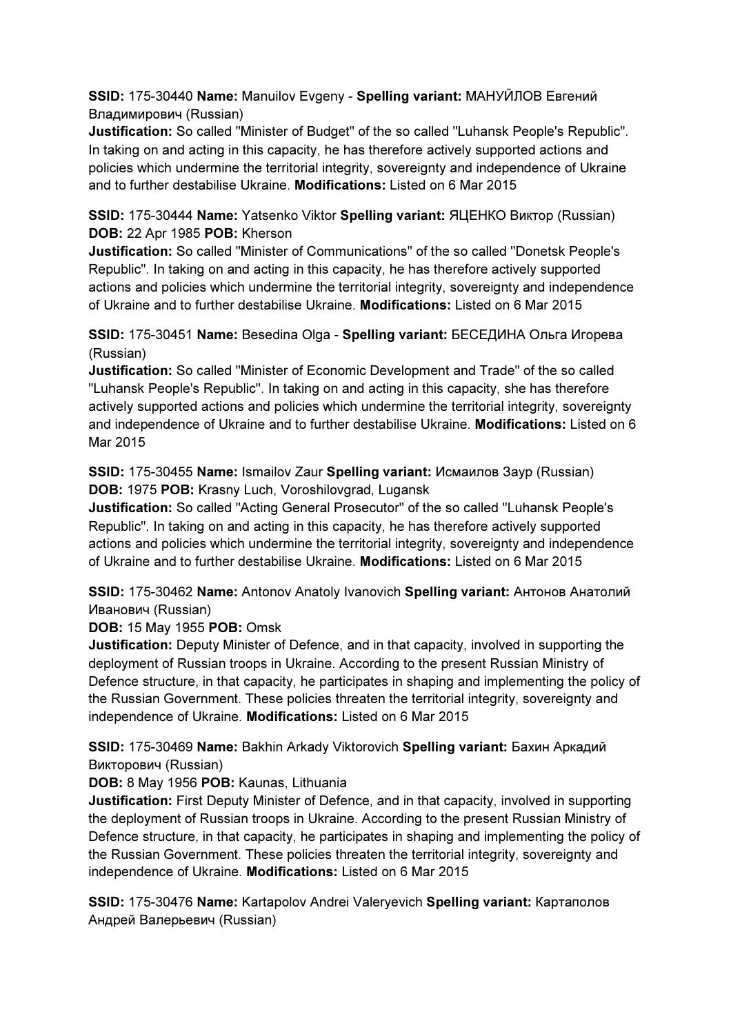SSID: 175-30440 Name: Manuilov Evgeny - Spelling variant: МАНУЙЛОВ Евгений Владимирович (Russian)

Justification: So called "Minister of Budget" of the so called "Luhansk People's Republic". In taking on and acting in this capacity, he has therefore actively supported actions and policies which undermine the territorial integrity, sovereignty and independence of Ukraine and to further destabilise Ukraine. Modifications: Listed on 6 Mar 2015

SSID: 175-30444 Name: Yatsenko Viktor Spelling variant: ЯЦЕНКО Виктор (Russian) DOB: 22 Apr 1985 POB: Kherson

Justification: So called "Minister of Communications" of the so called "Donetsk People's Republic". In taking on and acting in this capacity, he has therefore actively supported actions and policies which undermine the territorial integrity, sovereignty and independence of Ukraine and to further destabilise Ukraine. Modifications: Listed on 6 Mar 2015

SSID: 175-30451 Name: Besedina Olga - Spelling variant: БЕСЕДИНА Ольга Игорева (Russian)

Justification: So called "Minister of Economic Development and Trade" of the so called "Luhansk People's Republic". In taking on and acting in this capacity, she has therefore actively supported actions and policies which undermine the territorial integrity, sovereignty and independence of Ukraine and to further destabilise Ukraine. Modifications: Listed on 6 Mar 2015

SSID: 175-30455 Name: Ismailov Zaur Spelling variant: Исмаилов Заур (Russian) DOB: 1975 POB: Krasny Luch, Voroshilovgrad, Lugansk

Justification: So called "Acting General Prosecutor" of the so called "Luhansk People's Republic". In taking on and acting in this capacity, he has therefore actively supported actions and policies which undermine the territorial integrity, sovereignty and independence of Ukraine and to further destabilise Ukraine. Modifications: Listed on 6 Mar 2015

SSID: 175-30462 Name: Antonov Anatoly Ivanovich Spelling variant: Антонов Анатолий Иванович (Russian)

DOB: 15 May 1955 POB: Omsk

Justification: Deputy Minister of Defence, and in that capacity, involved in supporting the deployment of Russian troops in Ukraine. According to the present Russian Ministry of Defence structure, in that capacity, he participates in shaping and implementing the policy of the Russian Government. These policies threaten the territorial integrity, sovereignty and independence of Ukraine. Modifications: Listed on 6 Mar 2015

SSID: 175-30469 Name: Bakhin Arkady Viktorovich Spelling variant: Бахин Аркадий Викторович (Russian)

DOB: 8 May 1956 POB: Kaunas, Lithuania

Justification: First Deputy Minister of Defence, and in that capacity, involved in supporting the deployment of Russian troops in Ukraine. According to the present Russian Ministry of Defence structure, in that capacity, he participates in shaping and implementing the policy of the Russian Government. These policies threaten the territorial integrity, sovereignty and independence of Ukraine. Modifications: Listed on 6 Mar 2015

SSID: 175-30476 Name: Kartapolov Andrei Valeryevich Spelling variant: Картaполов Андрей Валерьевич (Russian)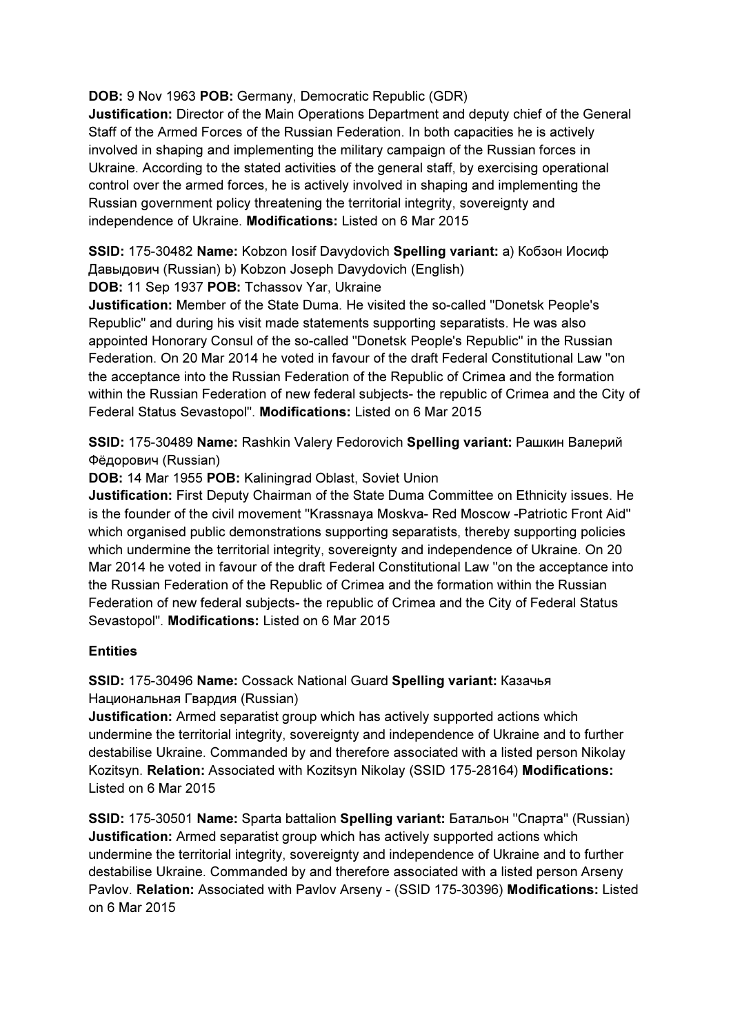### DOB: 9 Nov 1963 POB: Germany, Democratic Republic (GDR)

Justification: Director of the Main Operations Department and deputy chief of the General Staff of the Armed Forces of the Russian Federation. In both capacities he is actively involved in shaping and implementing the military campaign of the Russian forces in Ukraine. According to the stated activities of the general staff, by exercising operational control over the armed forces, he is actively involved in shaping and implementing the Russian government policy threatening the territorial integrity, sovereignty and independence of Ukraine. Modifications: Listed on 6 Mar 2015

SSID: 175-30482 Name: Kobzon Iosif Davydovich Spelling variant: a) Кобзон Иосиф Дaвыдович (Russian) b) Kobzon Joseph Davydovich (English)

DOB: 11 Sep 1937 POB: Tchassov Yar, Ukraine

Justification: Member of the State Duma. He visited the so-called "Donetsk People's Republic" and during his visit made statements supporting separatists. He was also appointed Honorary Consul of the so-called "Donetsk People's Republic" in the Russian Federation. On 20 Mar 2014 he voted in favour of the draft Federal Constitutional Law "on the acceptance into the Russian Federation of the Republic of Crimea and the formation within the Russian Federation of new federal subjects- the republic of Crimea and the City of Federal Status Sevastopol". Modifications: Listed on 6 Mar 2015

SSID: 175-30489 Name: Rashkin Valery Fedorovich Spelling variant: Рашкин Валерий Фёдорович (Russian)

DOB: 14 Mar 1955 POB: Kaliningrad Oblast, Soviet Union

Justification: First Deputy Chairman of the State Duma Committee on Ethnicity issues. He is the founder of the civil movement "Krassnaya Moskva- Red Moscow -Patriotic Front Aid" which organised public demonstrations supporting separatists, thereby supporting policies which undermine the territorial integrity, sovereignty and independence of Ukraine. On 20 Mar 2014 he voted in favour of the draft Federal Constitutional Law "on the acceptance into the Russian Federation of the Republic of Crimea and the formation within the Russian Federation of new federal subjects- the republic of Crimea and the City of Federal Status Sevastopol". Modifications: Listed on 6 Mar 2015

### **Entities**

SSID: 175-30496 Name: Cossack National Guard Spelling variant: Казачья Национальная Гвардия (Russian)

Justification: Armed separatist group which has actively supported actions which undermine the territorial integrity, sovereignty and independence of Ukraine and to further destabilise Ukraine. Commanded by and therefore associated with a listed person Nikolay Kozitsyn. Relation: Associated with Kozitsyn Nikolay (SSID 175-28164) Modifications: Listed on 6 Mar 2015

SSID: 175-30501 Name: Sparta battalion Spelling variant: Батальон "Спарта" (Russian) Justification: Armed separatist group which has actively supported actions which undermine the territorial integrity, sovereignty and independence of Ukraine and to further destabilise Ukraine. Commanded by and therefore associated with a listed person Arseny Pavlov. Relation: Associated with Pavlov Arseny - (SSID 175-30396) Modifications: Listed on 6 Mar 2015